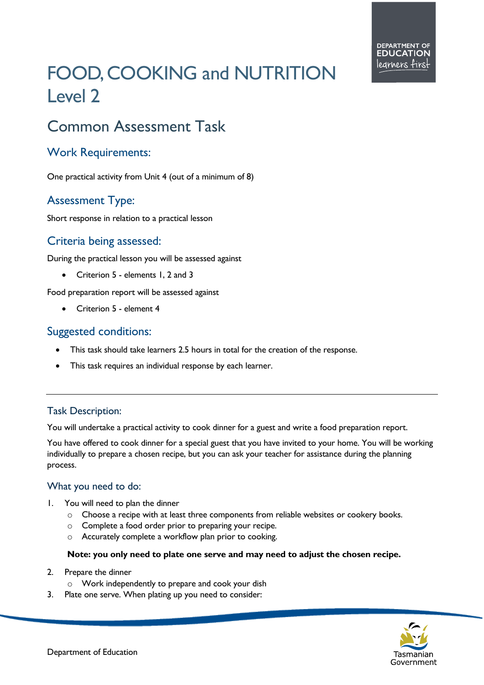# FOOD, COOKING and NUTRITION Level 2

# Common Assessment Task

## Work Requirements:

One practical activity from Unit 4 (out of a minimum of 8)

# Assessment Type:

Short response in relation to a practical lesson

### Criteria being assessed:

During the practical lesson you will be assessed against

• Criterion 5 - elements 1, 2 and 3

Food preparation report will be assessed against

• Criterion 5 - element 4

#### Suggested conditions:

- This task should take learners 2.5 hours in total for the creation of the response.
- This task requires an individual response by each learner.

#### Task Description:

You will undertake a practical activity to cook dinner for a guest and write a food preparation report.

You have offered to cook dinner for a special guest that you have invited to your home. You will be working individually to prepare a chosen recipe, but you can ask your teacher for assistance during the planning process.

#### What you need to do:

- 1. You will need to plan the dinner
	- $\circ$  Choose a recipe with at least three components from reliable websites or cookery books.
	- o Complete a food order prior to preparing your recipe.
	- o Accurately complete a workflow plan prior to cooking.

#### **Note: you only need to plate one serve and may need to adjust the chosen recipe.**

- 2. Prepare the dinner
	- o Work independently to prepare and cook your dish
- 3. Plate one serve. When plating up you need to consider: